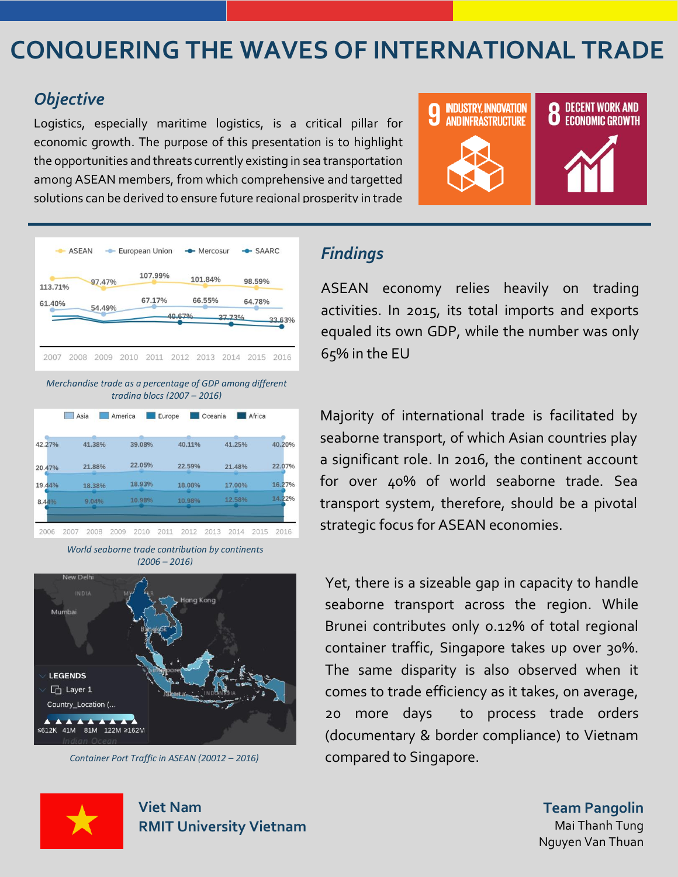# **CONQUERING THE WAVES OF INTERNATIONAL TRADE**

## *Objective*

Logistics, especially maritime logistics, is a critical pillar for economic growth. The purpose of this presentation is to highlight the opportunities and threats currently existing in sea transportation among ASEAN members, from which comprehensive and targetted solutions can be derived to ensure future regional prosperity in trade





*Merchandise trade as a percentage of GDP among different trading blocs (2007 – 2016)*

|        | Asia         | America      | Europe |        | Oceania |        | Africa |        |
|--------|--------------|--------------|--------|--------|---------|--------|--------|--------|
| 42.27% | 41.38%       | 39.08%       |        | 40.11% |         | 41.25% |        | 40.20% |
| 20.47% | 21.88%       | 22.05%       |        | 22.59% |         | 21.48% |        | 22.07% |
| 19.44% | 18.38%       | 18.93%       |        | 18.08% |         | 17.00% |        | 16.27% |
| 8.44%  | 9.04%        | 10.98%       |        | 10.98% |         | 12.58% |        | 14.22% |
| 2006   | 2007<br>2008 | 2009<br>2010 | 2011   | 2012   | 2013    | 2014   | 2015   | 2016   |

*World seaborne trade contribution by continents (2006 – 2016)*



*Container Port Traffic in ASEAN (20012 – 2016)*

# *Findings*

ASEAN economy relies heavily on trading activities. In 2015, its total imports and exports equaled its own GDP, while the number was only 65% in the EU

Majority of international trade is facilitated by seaborne transport, of which Asian countries play a significant role. In 2016, the continent account for over 40% of world seaborne trade. Sea transport system, therefore, should be a pivotal strategic focus for ASEAN economies.

Yet, there is a sizeable gap in capacity to handle seaborne transport across the region. While Brunei contributes only 0.12% of total regional container traffic, Singapore takes up over 30%. The same disparity is also observed when it comes to trade efficiency as it takes, on average, 20 more days to process trade orders (documentary & border compliance) to Vietnam compared to Singapore.



**Viet Nam RMIT University Vietnam**

**Team Pangolin** Mai Thanh Tung Nguyen Van Thuan